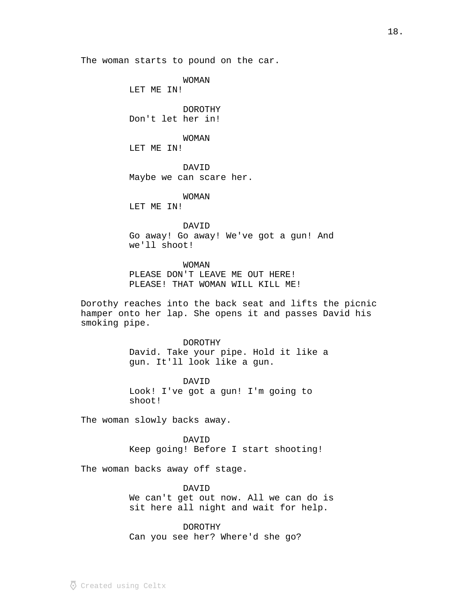The woman starts to pound on the car.

WOMAN

LET ME IN!

DOROTHY Don't let her in!

WOMAN

LET ME IN!

DAVID Maybe we can scare her.

WOMAN

LET ME IN!

DAVID Go away! Go away! We've got a gun! And we'll shoot!

WOMAN PLEASE DON'T LEAVE ME OUT HERE! PLEASE! THAT WOMAN WILL KILL ME!

Dorothy reaches into the back seat and lifts the picnic hamper onto her lap. She opens it and passes David his smoking pipe.

DOROTHY

David. Take your pipe. Hold it like a gun. It'll look like a gun.

DAVID Look! I've got a gun! I'm going to shoot!

The woman slowly backs away.

DAVID Keep going! Before I start shooting!

The woman backs away off stage.

DAVID We can't get out now. All we can do is sit here all night and wait for help.

DOROTHY Can you see her? Where'd she go?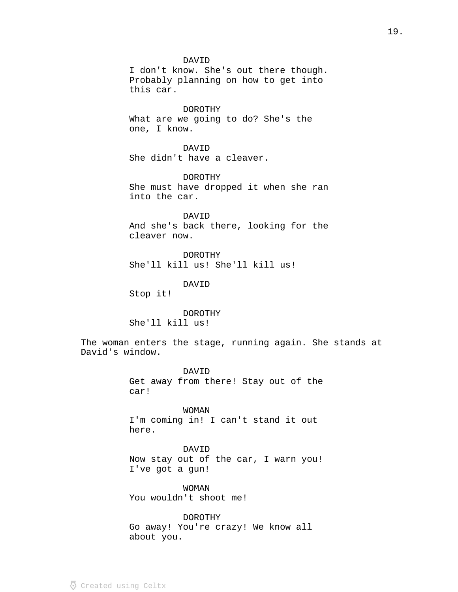### DAVID

I don't know. She's out there though. Probably planning on how to get into this car.

DOROTHY What are we going to do? She's the one, I know.

DAVID She didn't have a cleaver.

DOROTHY She must have dropped it when she ran into the car.

DAVID And she's back there, looking for the cleaver now.

DOROTHY She'll kill us! She'll kill us!

DAVID

Stop it!

DOROTHY

She'll kill us!

The woman enters the stage, running again. She stands at David's window.

> DAVID Get away from there! Stay out of the car!

WOMAN I'm coming in! I can't stand it out here.

DAVID Now stay out of the car, I warn you! I've got a gun!

WOMAN You wouldn't shoot me!

DOROTHY Go away! You're crazy! We know all about you.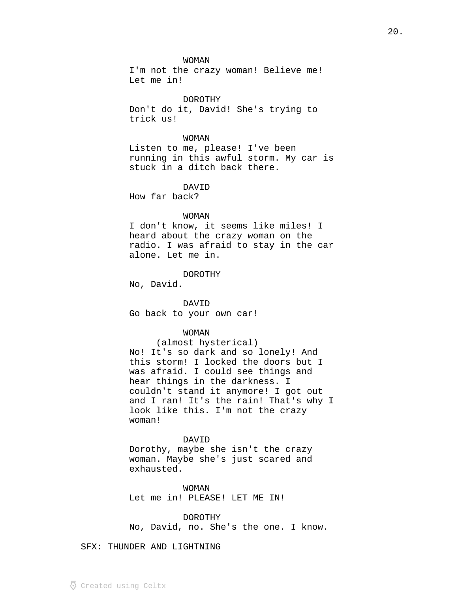WOMAN

I'm not the crazy woman! Believe me! Let me in!

DOROTHY Don't do it, David! She's trying to trick us!

WOMAN Listen to me, please! I've been running in this awful storm. My car is stuck in a ditch back there.

## DAVID

How far back?

#### WOMAN

I don't know, it seems like miles! I heard about the crazy woman on the radio. I was afraid to stay in the car alone. Let me in.

DOROTHY

No, David.

DAVID Go back to your own car!

### WOMAN

(almost hysterical) No! It's so dark and so lonely! And this storm! I locked the doors but I was afraid. I could see things and hear things in the darkness. I couldn't stand it anymore! I got out and I ran! It's the rain! That's why I look like this. I'm not the crazy woman!

### DAVID

Dorothy, maybe she isn't the crazy woman. Maybe she's just scared and exhausted.

WOMAN Let me in! PLEASE! LET ME IN!

DOROTHY

No, David, no. She's the one. I know.

SFX: THUNDER AND LIGHTNING